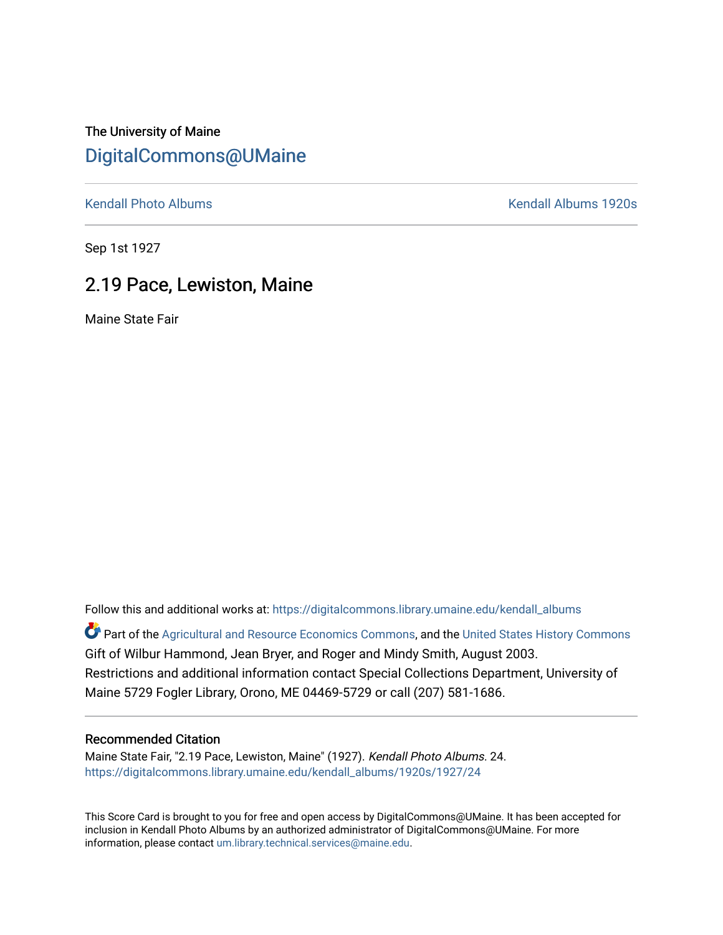The University of Maine [DigitalCommons@UMaine](https://digitalcommons.library.umaine.edu/)

[Kendall Photo Albums](https://digitalcommons.library.umaine.edu/kendall_albums) **Kendall Albums 1920s** 

Sep 1st 1927

## 2.19 Pace, Lewiston, Maine

Maine State Fair

Follow this and additional works at: [https://digitalcommons.library.umaine.edu/kendall\\_albums](https://digitalcommons.library.umaine.edu/kendall_albums?utm_source=digitalcommons.library.umaine.edu%2Fkendall_albums%2F1920s%2F1927%2F24&utm_medium=PDF&utm_campaign=PDFCoverPages)  Part of the [Agricultural and Resource Economics Commons,](http://network.bepress.com/hgg/discipline/317?utm_source=digitalcommons.library.umaine.edu%2Fkendall_albums%2F1920s%2F1927%2F24&utm_medium=PDF&utm_campaign=PDFCoverPages) and the [United States History Commons](http://network.bepress.com/hgg/discipline/495?utm_source=digitalcommons.library.umaine.edu%2Fkendall_albums%2F1920s%2F1927%2F24&utm_medium=PDF&utm_campaign=PDFCoverPages) Gift of Wilbur Hammond, Jean Bryer, and Roger and Mindy Smith, August 2003. Restrictions and additional information contact Special Collections Department, University of Maine 5729 Fogler Library, Orono, ME 04469-5729 or call (207) 581-1686.

## Recommended Citation

Maine State Fair, "2.19 Pace, Lewiston, Maine" (1927). Kendall Photo Albums. 24. [https://digitalcommons.library.umaine.edu/kendall\\_albums/1920s/1927/24](https://digitalcommons.library.umaine.edu/kendall_albums/1920s/1927/24?utm_source=digitalcommons.library.umaine.edu%2Fkendall_albums%2F1920s%2F1927%2F24&utm_medium=PDF&utm_campaign=PDFCoverPages)

This Score Card is brought to you for free and open access by DigitalCommons@UMaine. It has been accepted for inclusion in Kendall Photo Albums by an authorized administrator of DigitalCommons@UMaine. For more information, please contact [um.library.technical.services@maine.edu](mailto:um.library.technical.services@maine.edu).